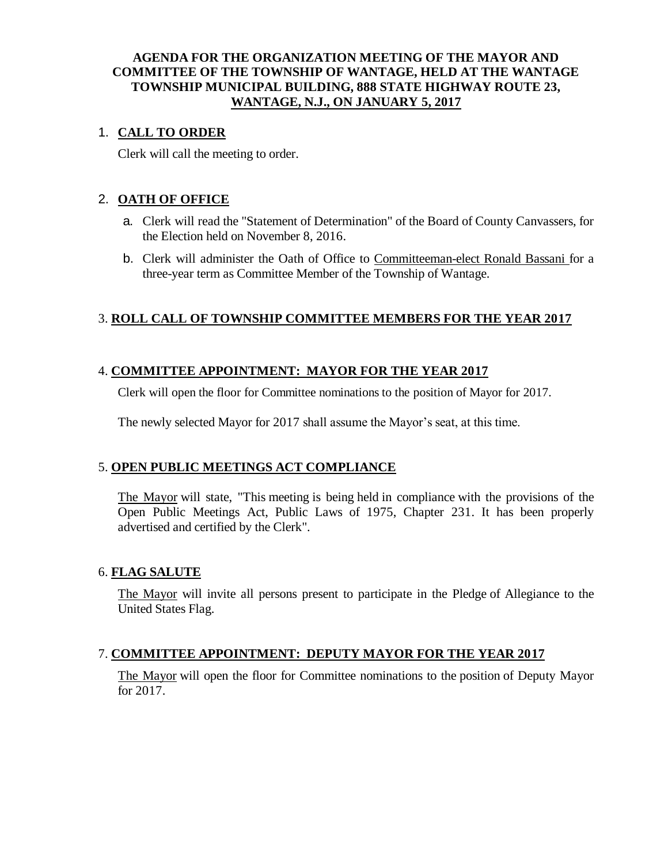## **AGENDA FOR THE ORGANIZATION MEETING OF THE MAYOR AND COMMITTEE OF THE TOWNSHIP OF WANTAGE, HELD AT THE WANTAGE TOWNSHIP MUNICIPAL BUILDING, 888 STATE HIGHWAY ROUTE 23, WANTAGE, N.J., ON JANUARY 5, 2017**

## 1. **CALL TO ORDER**

Clerk will call the meeting to order.

## 2. **OATH OF OFFICE**

- a. Clerk will read the "Statement of Determination" of the Board of County Canvassers, for the Election held on November 8, 2016.
- b. Clerk will administer the Oath of Office to Committeeman-elect Ronald Bassani for a three-year term as Committee Member of the Township of Wantage.

## 3. **ROLL CALL OF TOWNSHIP COMMITTEE MEMBERS FOR THE YEAR 2017**

## 4. **COMMITTEE APPOINTMENT: MAYOR FOR THE YEAR 2017**

Clerk will open the floor for Committee nominations to the position of Mayor for 2017.

The newly selected Mayor for 2017 shall assume the Mayor's seat, at this time.

## 5. **OPEN PUBLIC MEETINGS ACT COMPLIANCE**

The Mayor will state, "This meeting is being held in compliance with the provisions of the Open Public Meetings Act, Public Laws of 1975, Chapter 231. It has been properly advertised and certified by the Clerk".

#### 6. **FLAG SALUTE**

The Mayor will invite all persons present to participate in the Pledge of Allegiance to the United States Flag.

## 7. **COMMITTEE APPOINTMENT: DEPUTY MAYOR FOR THE YEAR 2017**

The Mayor will open the floor for Committee nominations to the position of Deputy Mayor for 2017.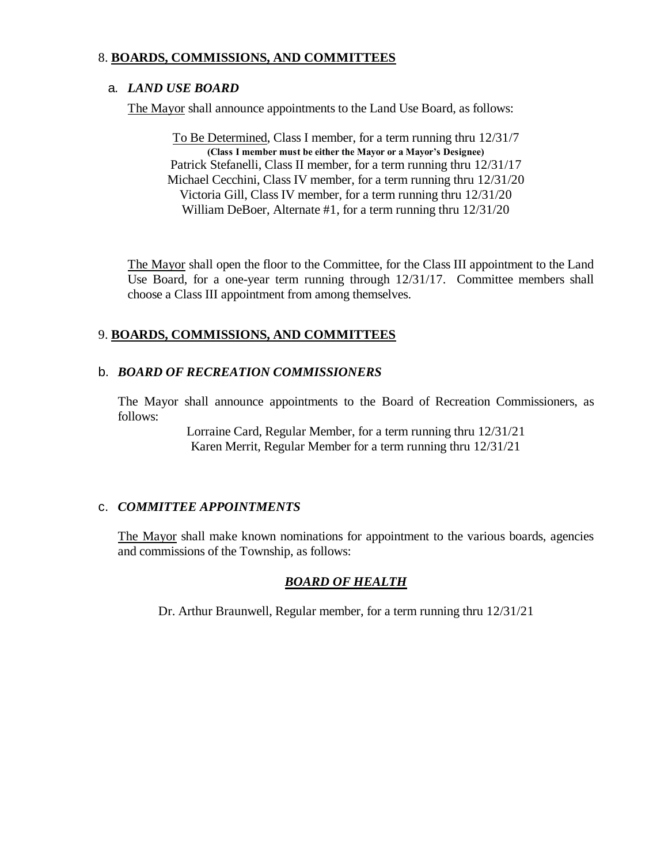## 8. **BOARDS, COMMISSIONS, AND COMMITTEES**

#### a. *LAND USE BOARD*

The Mayor shall announce appointments to the Land Use Board, as follows:

To Be Determined, Class I member, for a term running thru 12/31/7 **(Class I member must be either the Mayor or a Mayor's Designee)** Patrick Stefanelli, Class II member, for a term running thru 12/31/17 Michael Cecchini, Class IV member, for a term running thru 12/31/20 Victoria Gill, Class IV member, for a term running thru 12/31/20 William DeBoer, Alternate #1, for a term running thru 12/31/20

The Mayor shall open the floor to the Committee, for the Class III appointment to the Land Use Board, for a one-year term running through 12/31/17. Committee members shall choose a Class III appointment from among themselves.

## 9. **BOARDS, COMMISSIONS, AND COMMITTEES**

## b. *BOARD OF RECREATION COMMISSIONERS*

The Mayor shall announce appointments to the Board of Recreation Commissioners, as follows:

> Lorraine Card, Regular Member, for a term running thru 12/31/21 Karen Merrit, Regular Member for a term running thru 12/31/21

#### c. *COMMITTEE APPOINTMENTS*

The Mayor shall make known nominations for appointment to the various boards, agencies and commissions of the Township, as follows:

## *BOARD OF HEALTH*

Dr. Arthur Braunwell, Regular member, for a term running thru 12/31/21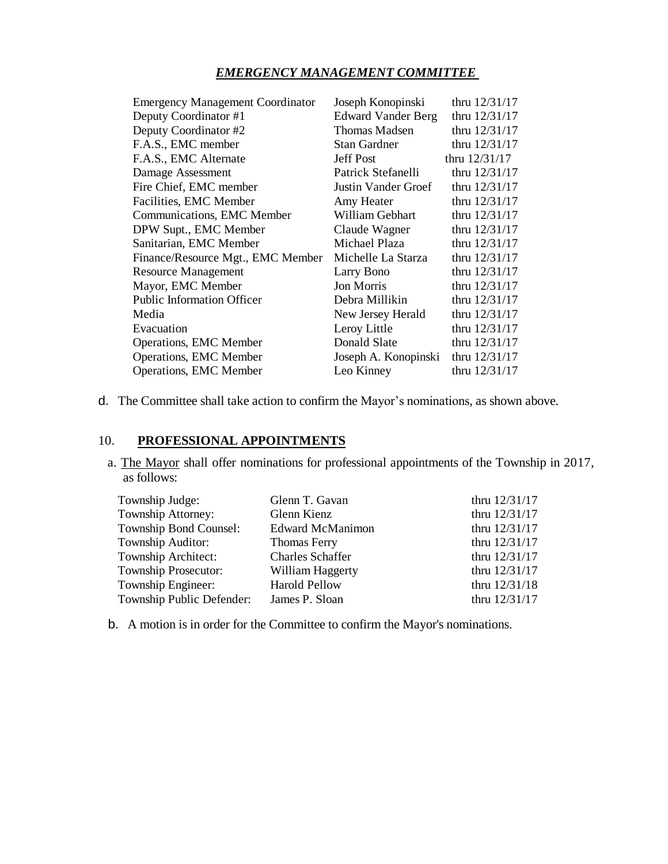## *EMERGENCY MANAGEMENT COMMITTEE*

| <b>Emergency Management Coordinator</b> | Joseph Konopinski         | thru 12/31/17   |
|-----------------------------------------|---------------------------|-----------------|
| Deputy Coordinator #1                   | <b>Edward Vander Berg</b> | thru 12/31/17   |
| Deputy Coordinator #2                   | <b>Thomas Madsen</b>      | thru 12/31/17   |
| F.A.S., EMC member                      | <b>Stan Gardner</b>       | thru $12/31/17$ |
| F.A.S., EMC Alternate                   | <b>Jeff Post</b>          | thru 12/31/17   |
| Damage Assessment                       | Patrick Stefanelli        | thru 12/31/17   |
| Fire Chief, EMC member                  | Justin Vander Groef       | thru 12/31/17   |
| Facilities, EMC Member                  | Amy Heater                | thru $12/31/17$ |
| Communications, EMC Member              | William Gebhart           | thru $12/31/17$ |
| DPW Supt., EMC Member                   | Claude Wagner             | thru 12/31/17   |
| Sanitarian, EMC Member                  | Michael Plaza             | thru $12/31/17$ |
| Finance/Resource Mgt., EMC Member       | Michelle La Starza        | thru 12/31/17   |
| <b>Resource Management</b>              | Larry Bono                | thru 12/31/17   |
| Mayor, EMC Member                       | <b>Jon Morris</b>         | thru $12/31/17$ |
| <b>Public Information Officer</b>       | Debra Millikin            | thru $12/31/17$ |
| Media                                   | New Jersey Herald         | thru $12/31/17$ |
| Evacuation                              | Leroy Little              | thru 12/31/17   |
| Operations, EMC Member                  | Donald Slate              | thru 12/31/17   |
| Operations, EMC Member                  | Joseph A. Konopinski      | thru 12/31/17   |
| <b>Operations, EMC Member</b>           | Leo Kinney                | thru $12/31/17$ |

d. The Committee shall take action to confirm the Mayor's nominations, as shown above.

# 10. **PROFESSIONAL APPOINTMENTS**

 a. The Mayor shall offer nominations for professional appointments of the Township in 2017, as follows:

| Township Judge:             | Glenn T. Gavan          | thru 12/31/17   |
|-----------------------------|-------------------------|-----------------|
| Township Attorney:          | Glenn Kienz             | thru 12/31/17   |
| Township Bond Counsel:      | <b>Edward McManimon</b> | thru 12/31/17   |
| Township Auditor:           | <b>Thomas Ferry</b>     | thru 12/31/17   |
| Township Architect:         | <b>Charles Schaffer</b> | thru 12/31/17   |
| <b>Township Prosecutor:</b> | William Haggerty        | thru $12/31/17$ |
| Township Engineer:          | <b>Harold Pellow</b>    | thru 12/31/18   |
| Township Public Defender:   | James P. Sloan          | thru 12/31/17   |

b. A motion is in order for the Committee to confirm the Mayor's nominations.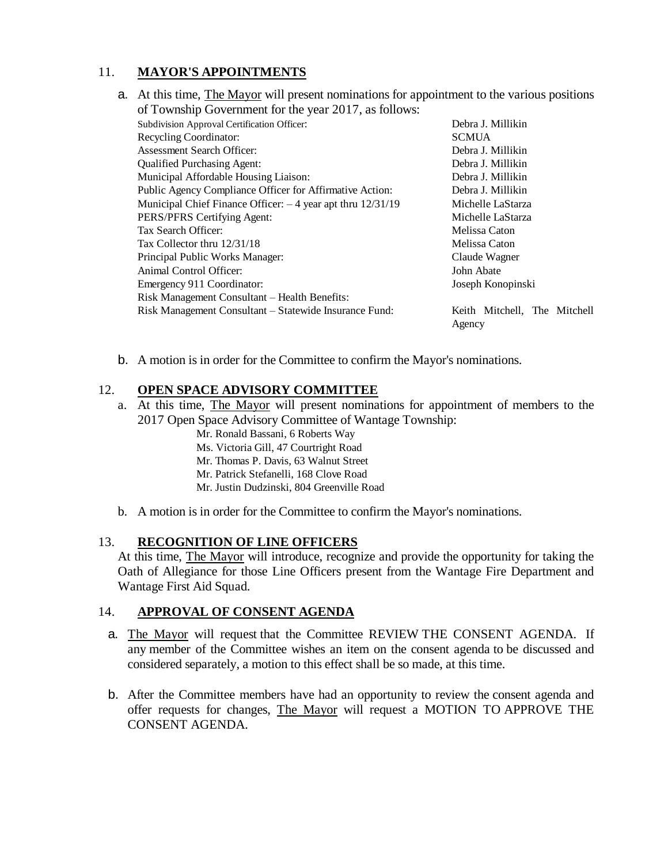# 11. **MAYOR'S APPOINTMENTS**

a. At this time, The Mayor will present nominations for appointment to the various positions of Township Government for the year 2017, as follows:

| Subdivision Approval Certification Officer:                    | Debra J. Millikin            |  |
|----------------------------------------------------------------|------------------------------|--|
| Recycling Coordinator:                                         | <b>SCMUA</b>                 |  |
| <b>Assessment Search Officer:</b>                              | Debra J. Millikin            |  |
| <b>Qualified Purchasing Agent:</b>                             | Debra J. Millikin            |  |
| Municipal Affordable Housing Liaison:                          | Debra J. Millikin            |  |
| Public Agency Compliance Officer for Affirmative Action:       | Debra J. Millikin            |  |
| Municipal Chief Finance Officer: $-4$ year apt thru $12/31/19$ | Michelle LaStarza            |  |
| PERS/PFRS Certifying Agent:                                    | Michelle LaStarza            |  |
| Tax Search Officer:                                            | Melissa Caton                |  |
| Tax Collector thru 12/31/18                                    | Melissa Caton                |  |
| Principal Public Works Manager:                                | Claude Wagner                |  |
| Animal Control Officer:                                        | John Abate                   |  |
| Emergency 911 Coordinator:                                     | Joseph Konopinski            |  |
| Risk Management Consultant – Health Benefits:                  |                              |  |
| Risk Management Consultant – Statewide Insurance Fund:         | Keith Mitchell, The Mitchell |  |
|                                                                | Agency                       |  |

b. A motion is in order for the Committee to confirm the Mayor's nominations.

## 12. **OPEN SPACE ADVISORY COMMITTEE**

- a. At this time, The Mayor will present nominations for appointment of members to the 2017 Open Space Advisory Committee of Wantage Township:
	- Mr. Ronald Bassani, 6 Roberts Way
	- Ms. Victoria Gill, 47 Courtright Road
	- Mr. Thomas P. Davis, 63 Walnut Street
	- Mr. Patrick Stefanelli, 168 Clove Road
	- Mr. Justin Dudzinski, 804 Greenville Road
- b. A motion is in order for the Committee to confirm the Mayor's nominations.

#### 13. **RECOGNITION OF LINE OFFICERS**

At this time, The Mayor will introduce, recognize and provide the opportunity for taking the Oath of Allegiance for those Line Officers present from the Wantage Fire Department and Wantage First Aid Squad.

#### 14. **APPROVAL OF CONSENT AGENDA**

- a. The Mayor will request that the Committee REVIEW THE CONSENT AGENDA. If any member of the Committee wishes an item on the consent agenda to be discussed and considered separately, a motion to this effect shall be so made, at this time.
- b. After the Committee members have had an opportunity to review the consent agenda and offer requests for changes, The Mayor will request a MOTION TO APPROVE THE CONSENT AGENDA.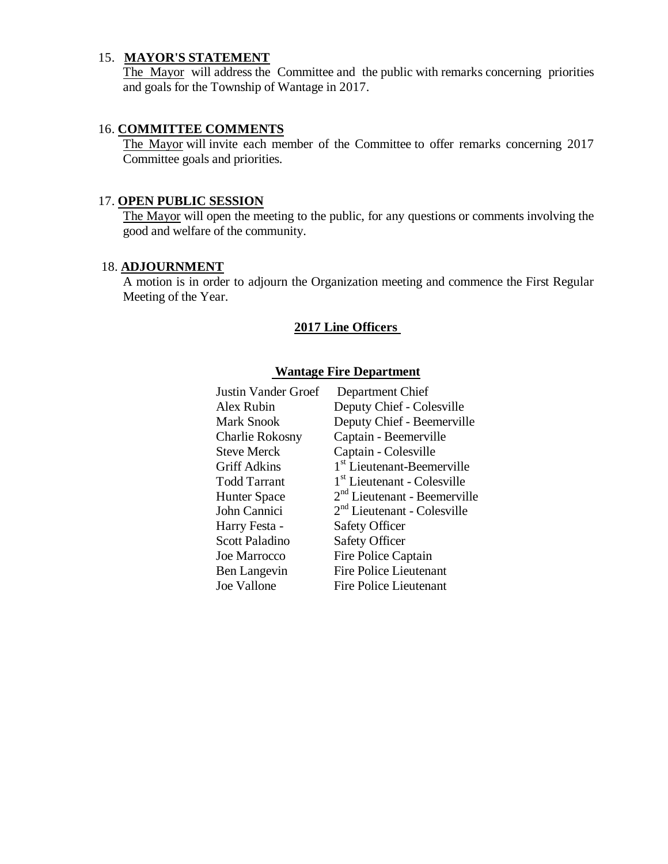# 15. **MAYOR'S STATEMENT**

The Mayor will address the Committee and the public with remarks concerning priorities and goals for the Township of Wantage in 2017.

## 16. **COMMITTEE COMMENTS**

The Mayor will invite each member of the Committee to offer remarks concerning 2017 Committee goals and priorities.

## 17. **OPEN PUBLIC SESSION**

The Mayor will open the meeting to the public, for any questions or comments involving the good and welfare of the community.

## 18. **ADJOURNMENT**

A motion is in order to adjourn the Organization meeting and commence the First Regular Meeting of the Year.

## **2017 Line Officers**

#### **Wantage Fire Department**

| Justin Vander Groef    | Department Chief                        |
|------------------------|-----------------------------------------|
| Alex Rubin             | Deputy Chief - Colesville               |
| <b>Mark Snook</b>      | Deputy Chief - Beemerville              |
| <b>Charlie Rokosny</b> | Captain - Beemerville                   |
| <b>Steve Merck</b>     | Captain - Colesville                    |
| <b>Griff Adkins</b>    | 1 <sup>st</sup> Lieutenant-Beemerville  |
| <b>Todd Tarrant</b>    | 1 <sup>st</sup> Lieutenant - Colesville |
| <b>Hunter Space</b>    | $2nd$ Lieutenant - Beemerville          |
| John Cannici           | $2nd$ Lieutenant - Colesville           |
| Harry Festa -          | <b>Safety Officer</b>                   |
| <b>Scott Paladino</b>  | <b>Safety Officer</b>                   |
| <b>Joe Marrocco</b>    | Fire Police Captain                     |
| Ben Langevin           | <b>Fire Police Lieutenant</b>           |
| Joe Vallone            | <b>Fire Police Lieutenant</b>           |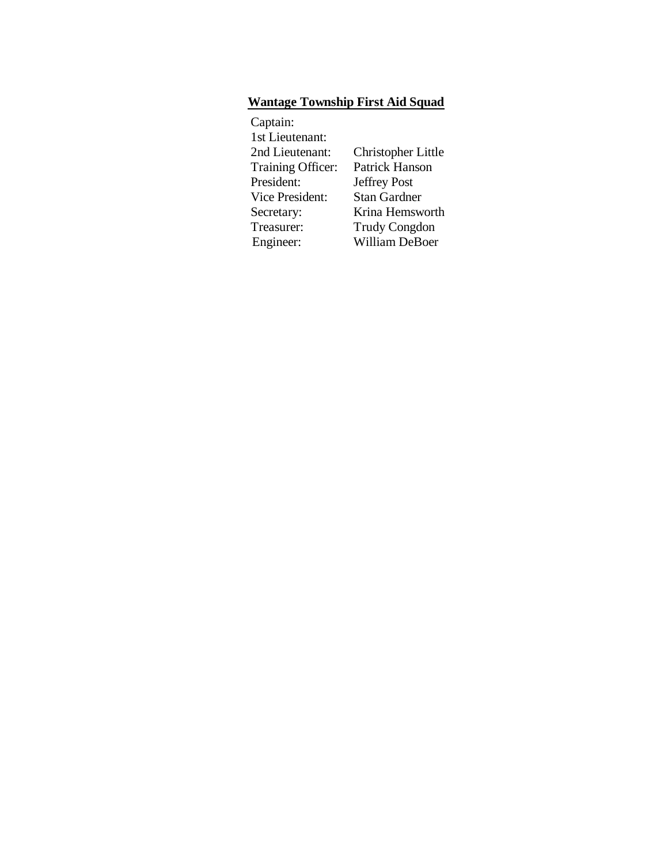# **Wantage Township First Aid Squad**

| Captain:               |                       |
|------------------------|-----------------------|
| 1st Lieutenant:        |                       |
| 2nd Lieutenant:        | Christopher Little    |
| Training Officer:      | <b>Patrick Hanson</b> |
| President:             | <b>Jeffrey Post</b>   |
| <b>Vice President:</b> | <b>Stan Gardner</b>   |
| Secretary:             | Krina Hemsworth       |
| Treasurer:             | <b>Trudy Congdon</b>  |
| Engineer:              | William DeBoer        |
|                        |                       |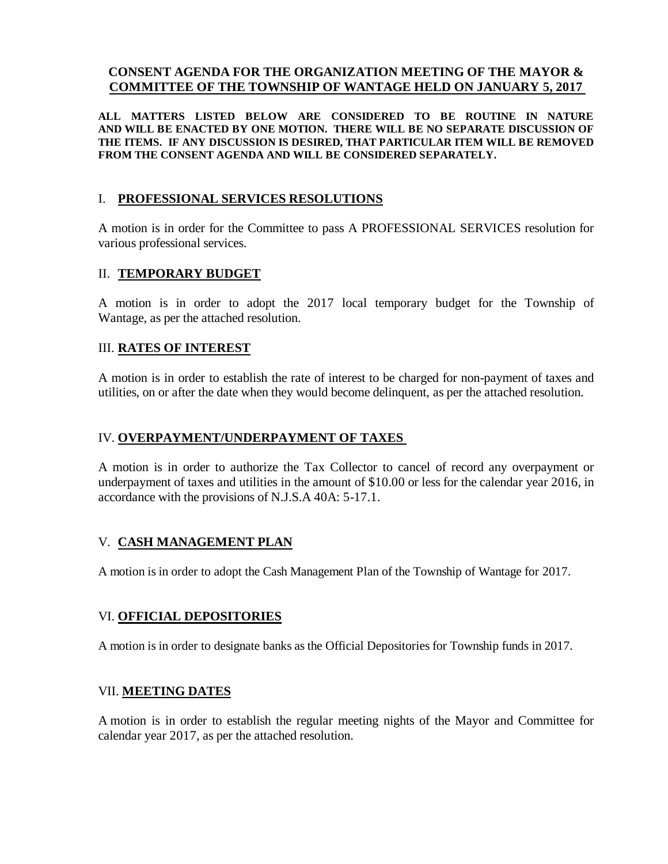#### **CONSENT AGENDA FOR THE ORGANIZATION MEETING OF THE MAYOR & COMMITTEE OF THE TOWNSHIP OF WANTAGE HELD ON JANUARY 5, 2017**

**ALL MATTERS LISTED BELOW ARE CONSIDERED TO BE ROUTINE IN NATURE AND WILL BE ENACTED BY ONE MOTION. THERE WILL BE NO SEPARATE DISCUSSION OF THE ITEMS. IF ANY DISCUSSION IS DESIRED, THAT PARTICULAR ITEM WILL BE REMOVED FROM THE CONSENT AGENDA AND WILL BE CONSIDERED SEPARATELY.**

#### I. **PROFESSIONAL SERVICES RESOLUTIONS**

A motion is in order for the Committee to pass A PROFESSIONAL SERVICES resolution for various professional services.

#### II. **TEMPORARY BUDGET**

A motion is in order to adopt the 2017 local temporary budget for the Township of Wantage, as per the attached resolution.

## III. **RATES OF INTEREST**

A motion is in order to establish the rate of interest to be charged for non-payment of taxes and utilities, on or after the date when they would become delinquent, as per the attached resolution.

#### IV. **OVERPAYMENT/UNDERPAYMENT OF TAXES**

A motion is in order to authorize the Tax Collector to cancel of record any overpayment or underpayment of taxes and utilities in the amount of \$10.00 or less for the calendar year 2016, in accordance with the provisions of N.J.S.A 40A: 5-17.1.

## V. **CASH MANAGEMENT PLAN**

A motion is in order to adopt the Cash Management Plan of the Township of Wantage for 2017.

#### VI. **OFFICIAL DEPOSITORIES**

A motion is in order to designate banks as the Official Depositories for Township funds in 2017.

#### VII. **MEETING DATES**

A motion is in order to establish the regular meeting nights of the Mayor and Committee for calendar year 2017, as per the attached resolution.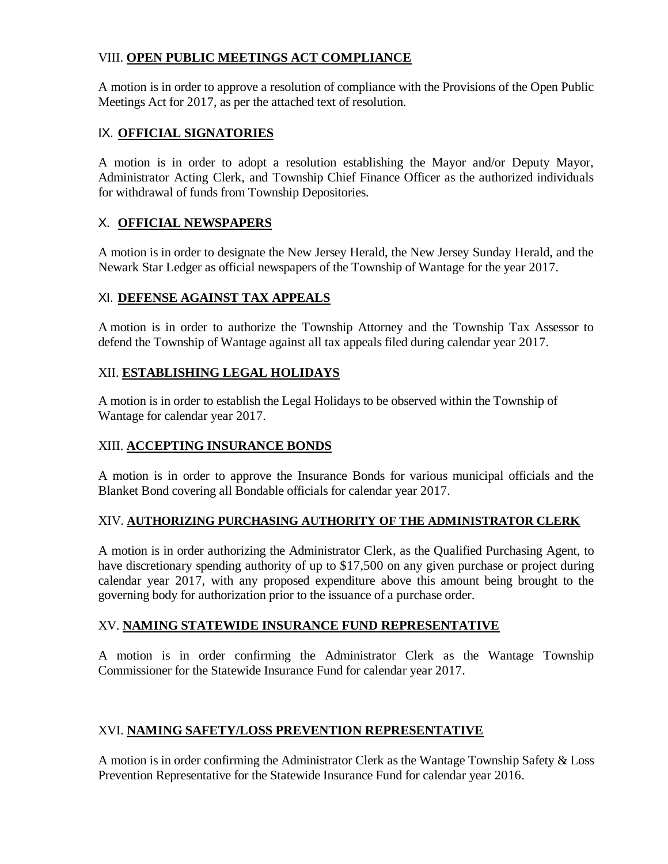# VIII. **OPEN PUBLIC MEETINGS ACT COMPLIANCE**

A motion is in order to approve a resolution of compliance with the Provisions of the Open Public Meetings Act for 2017, as per the attached text of resolution.

## IX. **OFFICIAL SIGNATORIES**

A motion is in order to adopt a resolution establishing the Mayor and/or Deputy Mayor, Administrator Acting Clerk, and Township Chief Finance Officer as the authorized individuals for withdrawal of funds from Township Depositories.

## X. **OFFICIAL NEWSPAPERS**

A motion is in order to designate the New Jersey Herald, the New Jersey Sunday Herald, and the Newark Star Ledger as official newspapers of the Township of Wantage for the year 2017.

# XI. **DEFENSE AGAINST TAX APPEALS**

A motion is in order to authorize the Township Attorney and the Township Tax Assessor to defend the Township of Wantage against all tax appeals filed during calendar year 2017.

## XII. **ESTABLISHING LEGAL HOLIDAYS**

A motion is in order to establish the Legal Holidays to be observed within the Township of Wantage for calendar year 2017.

## XIII. **ACCEPTING INSURANCE BONDS**

A motion is in order to approve the Insurance Bonds for various municipal officials and the Blanket Bond covering all Bondable officials for calendar year 2017.

## XIV. **AUTHORIZING PURCHASING AUTHORITY OF THE ADMINISTRATOR CLERK**

A motion is in order authorizing the Administrator Clerk, as the Qualified Purchasing Agent, to have discretionary spending authority of up to \$17,500 on any given purchase or project during calendar year 2017, with any proposed expenditure above this amount being brought to the governing body for authorization prior to the issuance of a purchase order.

## XV. **NAMING STATEWIDE INSURANCE FUND REPRESENTATIVE**

A motion is in order confirming the Administrator Clerk as the Wantage Township Commissioner for the Statewide Insurance Fund for calendar year 2017.

## XVI. **NAMING SAFETY/LOSS PREVENTION REPRESENTATIVE**

A motion is in order confirming the Administrator Clerk as the Wantage Township Safety & Loss Prevention Representative for the Statewide Insurance Fund for calendar year 2016.